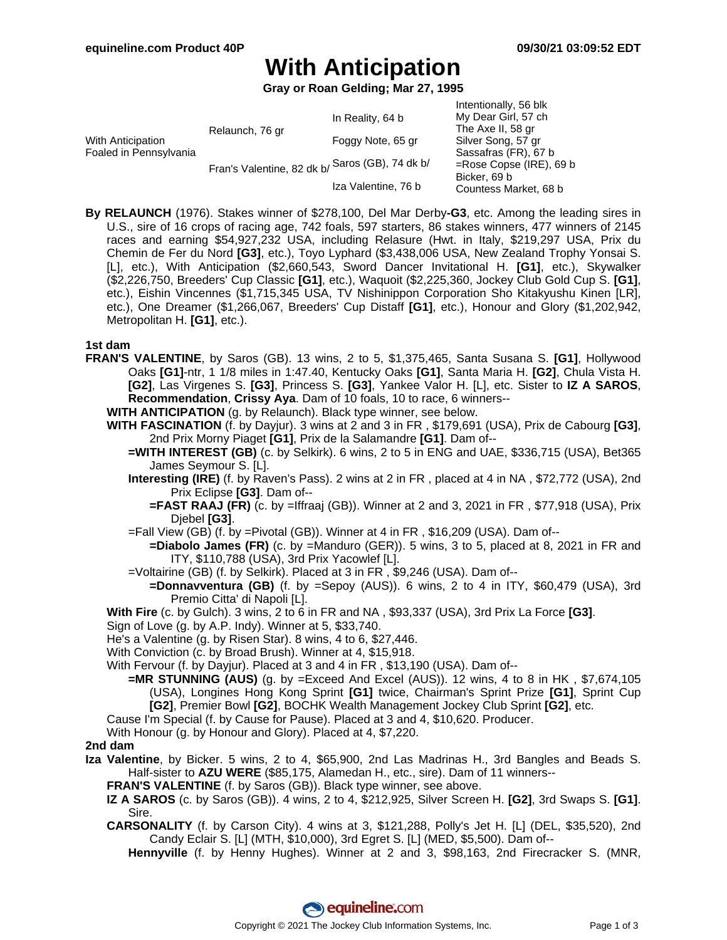Intentionally, 56 blk

# **With Anticipation**

**Gray or Roan Gelding; Mar 27, 1995**

|                                             |                                                 |                     | <b>INTERNATION</b> CONTROLLER |
|---------------------------------------------|-------------------------------------------------|---------------------|-------------------------------|
| With Anticipation<br>Foaled in Pennsylvania | Relaunch, 76 gr                                 | In Reality, 64 b    | My Dear Girl, 57 ch           |
|                                             |                                                 |                     | The Axe II, 58 gr             |
|                                             |                                                 | Foggy Note, 65 gr   | Silver Song, 57 gr            |
|                                             | Fran's Valentine, 82 dk b/ Saros (GB), 74 dk b/ |                     | Sassafras (FR), 67 b          |
|                                             |                                                 |                     | $=$ Rose Copse (IRE), 69 b    |
|                                             |                                                 |                     | Bicker, 69 b                  |
|                                             |                                                 | Iza Valentine, 76 b | Countess Market, 68 b         |
|                                             |                                                 |                     |                               |

**By RELAUNCH** (1976). Stakes winner of \$278,100, Del Mar Derby**-G3**, etc. Among the leading sires in U.S., sire of 16 crops of racing age, 742 foals, 597 starters, 86 stakes winners, 477 winners of 2145 races and earning \$54,927,232 USA, including Relasure (Hwt. in Italy, \$219,297 USA, Prix du Chemin de Fer du Nord **[G3]**, etc.), Toyo Lyphard (\$3,438,006 USA, New Zealand Trophy Yonsai S. [L], etc.), With Anticipation (\$2,660,543, Sword Dancer Invitational H. **[G1]**, etc.), Skywalker (\$2,226,750, Breeders' Cup Classic **[G1]**, etc.), Waquoit (\$2,225,360, Jockey Club Gold Cup S. **[G1]**, etc.), Eishin Vincennes (\$1,715,345 USA, TV Nishinippon Corporation Sho Kitakyushu Kinen [LR], etc.), One Dreamer (\$1,266,067, Breeders' Cup Distaff **[G1]**, etc.), Honour and Glory (\$1,202,942, Metropolitan H. **[G1]**, etc.).

#### **1st dam**

**FRAN'S VALENTINE**, by Saros (GB). 13 wins, 2 to 5, \$1,375,465, Santa Susana S. **[G1]**, Hollywood Oaks **[G1]**-ntr, 1 1/8 miles in 1:47.40, Kentucky Oaks **[G1]**, Santa Maria H. **[G2]**, Chula Vista H. **[G2]**, Las Virgenes S. **[G3]**, Princess S. **[G3]**, Yankee Valor H. [L], etc. Sister to **IZ A SAROS**, **Recommendation**, **Crissy Aya**. Dam of 10 foals, 10 to race, 6 winners--

**WITH ANTICIPATION** (g. by Relaunch). Black type winner, see below.

- **WITH FASCINATION** (f. by Dayjur). 3 wins at 2 and 3 in FR , \$179,691 (USA), Prix de Cabourg **[G3]**, 2nd Prix Morny Piaget **[G1]**, Prix de la Salamandre **[G1]**. Dam of--
	- **=WITH INTEREST (GB)** (c. by Selkirk). 6 wins, 2 to 5 in ENG and UAE, \$336,715 (USA), Bet365 James Seymour S. [L].
	- **Interesting (IRE)** (f. by Raven's Pass). 2 wins at 2 in FR , placed at 4 in NA , \$72,772 (USA), 2nd Prix Eclipse **[G3]**. Dam of--
		- **=FAST RAAJ (FR)** (c. by =Iffraaj (GB)). Winner at 2 and 3, 2021 in FR , \$77,918 (USA), Prix Djebel **[G3]**.
	- =Fall View (GB) (f. by =Pivotal (GB)). Winner at 4 in FR , \$16,209 (USA). Dam of--
		- **=Diabolo James (FR)** (c. by =Manduro (GER)). 5 wins, 3 to 5, placed at 8, 2021 in FR and ITY, \$110,788 (USA), 3rd Prix Yacowlef [L].
	- =Voltairine (GB) (f. by Selkirk). Placed at 3 in FR , \$9,246 (USA). Dam of--
	- **=Donnavventura (GB)** (f. by =Sepoy (AUS)). 6 wins, 2 to 4 in ITY, \$60,479 (USA), 3rd Premio Citta' di Napoli [L].
- **With Fire** (c. by Gulch). 3 wins, 2 to 6 in FR and NA , \$93,337 (USA), 3rd Prix La Force **[G3]**.
- Sign of Love (g. by A.P. Indy). Winner at 5, \$33,740.
- He's a Valentine (g. by Risen Star). 8 wins, 4 to 6, \$27,446.
- With Conviction (c. by Broad Brush). Winner at 4, \$15,918.
- With Fervour (f. by Dayjur). Placed at 3 and 4 in FR , \$13,190 (USA). Dam of--
	- **=MR STUNNING (AUS)** (g. by =Exceed And Excel (AUS)). 12 wins, 4 to 8 in HK , \$7,674,105 (USA), Longines Hong Kong Sprint **[G1]** twice, Chairman's Sprint Prize **[G1]**, Sprint Cup **[G2]**, Premier Bowl **[G2]**, BOCHK Wealth Management Jockey Club Sprint **[G2]**, etc.
- Cause I'm Special (f. by Cause for Pause). Placed at 3 and 4, \$10,620. Producer.

With Honour (g. by Honour and Glory). Placed at 4, \$7,220.

#### **2nd dam**

**Iza Valentine**, by Bicker. 5 wins, 2 to 4, \$65,900, 2nd Las Madrinas H., 3rd Bangles and Beads S. Half-sister to **AZU WERE** (\$85,175, Alamedan H., etc., sire). Dam of 11 winners--

**FRAN'S VALENTINE** (f. by Saros (GB)). Black type winner, see above.

- **IZ A SAROS** (c. by Saros (GB)). 4 wins, 2 to 4, \$212,925, Silver Screen H. **[G2]**, 3rd Swaps S. **[G1]**. Sire.
- **CARSONALITY** (f. by Carson City). 4 wins at 3, \$121,288, Polly's Jet H. [L] (DEL, \$35,520), 2nd Candy Eclair S. [L] (MTH, \$10,000), 3rd Egret S. [L] (MED, \$5,500). Dam of--

**Hennyville** (f. by Henny Hughes). Winner at 2 and 3, \$98,163, 2nd Firecracker S. (MNR,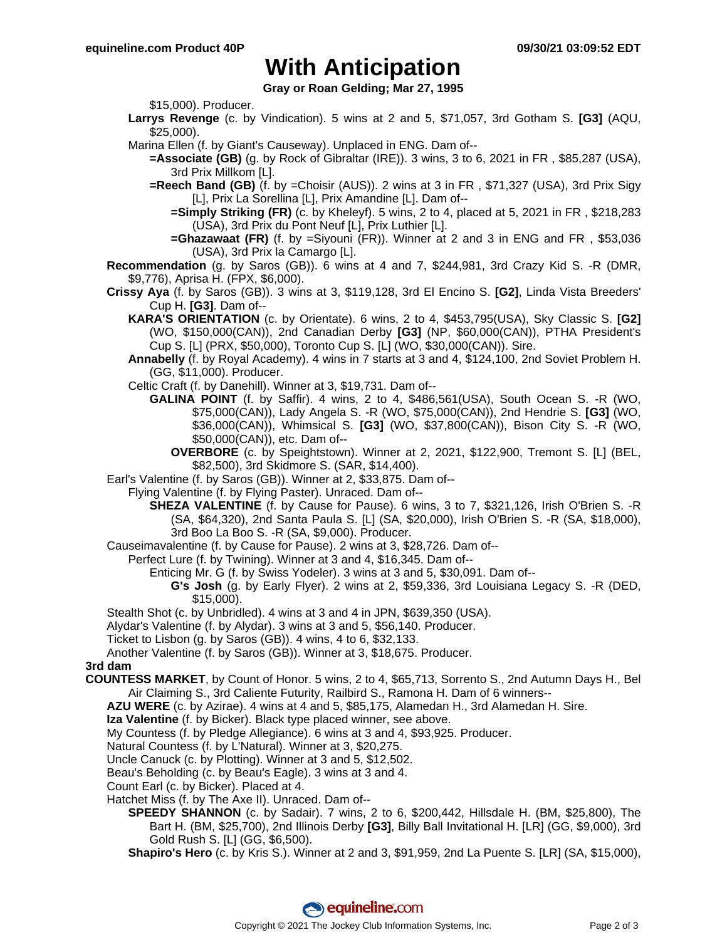### **With Anticipation**

**Gray or Roan Gelding; Mar 27, 1995**

\$15,000). Producer.

- **Larrys Revenge** (c. by Vindication). 5 wins at 2 and 5, \$71,057, 3rd Gotham S. **[G3]** (AQU, \$25,000).
- Marina Ellen (f. by Giant's Causeway). Unplaced in ENG. Dam of--
	- **=Associate (GB)** (g. by Rock of Gibraltar (IRE)). 3 wins, 3 to 6, 2021 in FR , \$85,287 (USA), 3rd Prix Millkom [L].
	- **=Reech Band (GB)** (f. by =Choisir (AUS)). 2 wins at 3 in FR , \$71,327 (USA), 3rd Prix Sigy [L], Prix La Sorellina [L], Prix Amandine [L]. Dam of--
		- **=Simply Striking (FR)** (c. by Kheleyf). 5 wins, 2 to 4, placed at 5, 2021 in FR , \$218,283 (USA), 3rd Prix du Pont Neuf [L], Prix Luthier [L].
		- **=Ghazawaat (FR)** (f. by =Siyouni (FR)). Winner at 2 and 3 in ENG and FR , \$53,036 (USA), 3rd Prix la Camargo [L].

**Recommendation** (g. by Saros (GB)). 6 wins at 4 and 7, \$244,981, 3rd Crazy Kid S. -R (DMR, \$9,776), Aprisa H. (FPX, \$6,000).

- **Crissy Aya** (f. by Saros (GB)). 3 wins at 3, \$119,128, 3rd El Encino S. **[G2]**, Linda Vista Breeders' Cup H. **[G3]**. Dam of--
	- **KARA'S ORIENTATION** (c. by Orientate). 6 wins, 2 to 4, \$453,795(USA), Sky Classic S. **[G2]** (WO, \$150,000(CAN)), 2nd Canadian Derby **[G3]** (NP, \$60,000(CAN)), PTHA President's Cup S. [L] (PRX, \$50,000), Toronto Cup S. [L] (WO, \$30,000(CAN)). Sire.
	- **Annabelly** (f. by Royal Academy). 4 wins in 7 starts at 3 and 4, \$124,100, 2nd Soviet Problem H. (GG, \$11,000). Producer.
	- Celtic Craft (f. by Danehill). Winner at 3, \$19,731. Dam of--
		- **GALINA POINT** (f. by Saffir). 4 wins, 2 to 4, \$486,561(USA), South Ocean S. -R (WO, \$75,000(CAN)), Lady Angela S. -R (WO, \$75,000(CAN)), 2nd Hendrie S. **[G3]** (WO, \$36,000(CAN)), Whimsical S. **[G3]** (WO, \$37,800(CAN)), Bison City S. -R (WO, \$50,000(CAN)), etc. Dam of--
			- **OVERBORE** (c. by Speightstown). Winner at 2, 2021, \$122,900, Tremont S. [L] (BEL, \$82,500), 3rd Skidmore S. (SAR, \$14,400).
- Earl's Valentine (f. by Saros (GB)). Winner at 2, \$33,875. Dam of--
	- Flying Valentine (f. by Flying Paster). Unraced. Dam of--
		- **SHEZA VALENTINE** (f. by Cause for Pause). 6 wins, 3 to 7, \$321,126, Irish O'Brien S. -R (SA, \$64,320), 2nd Santa Paula S. [L] (SA, \$20,000), Irish O'Brien S. -R (SA, \$18,000), 3rd Boo La Boo S. -R (SA, \$9,000). Producer.
- Causeimavalentine (f. by Cause for Pause). 2 wins at 3, \$28,726. Dam of--
	- Perfect Lure (f. by Twining). Winner at 3 and 4, \$16,345. Dam of--
		- Enticing Mr. G (f. by Swiss Yodeler). 3 wins at 3 and 5, \$30,091. Dam of--
			- **G's Josh** (g. by Early Flyer). 2 wins at 2, \$59,336, 3rd Louisiana Legacy S. -R (DED, \$15,000).
- Stealth Shot (c. by Unbridled). 4 wins at 3 and 4 in JPN, \$639,350 (USA).
- Alydar's Valentine (f. by Alydar). 3 wins at 3 and 5, \$56,140. Producer.
- Ticket to Lisbon (g. by Saros (GB)). 4 wins, 4 to 6, \$32,133.

Another Valentine (f. by Saros (GB)). Winner at 3, \$18,675. Producer.

**3rd dam**

- **COUNTESS MARKET**, by Count of Honor. 5 wins, 2 to 4, \$65,713, Sorrento S., 2nd Autumn Days H., Bel Air Claiming S., 3rd Caliente Futurity, Railbird S., Ramona H. Dam of 6 winners--
	- **AZU WERE** (c. by Azirae). 4 wins at 4 and 5, \$85,175, Alamedan H., 3rd Alamedan H. Sire.
	- **Iza Valentine** (f. by Bicker). Black type placed winner, see above.
	- My Countess (f. by Pledge Allegiance). 6 wins at 3 and 4, \$93,925. Producer.
	- Natural Countess (f. by L'Natural). Winner at 3, \$20,275.
	- Uncle Canuck (c. by Plotting). Winner at 3 and 5, \$12,502.
	- Beau's Beholding (c. by Beau's Eagle). 3 wins at 3 and 4.
	- Count Earl (c. by Bicker). Placed at 4.
	- Hatchet Miss (f. by The Axe II). Unraced. Dam of--
		- **SPEEDY SHANNON** (c. by Sadair). 7 wins, 2 to 6, \$200,442, Hillsdale H. (BM, \$25,800), The Bart H. (BM, \$25,700), 2nd Illinois Derby **[G3]**, Billy Ball Invitational H. [LR] (GG, \$9,000), 3rd Gold Rush S. [L] (GG, \$6,500).
		- **Shapiro's Hero** (c. by Kris S.). Winner at 2 and 3, \$91,959, 2nd La Puente S. [LR] (SA, \$15,000),